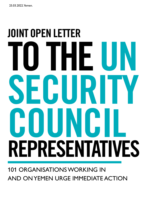## JOINT OPEN LETTER TO THE UN SECURITY **COUNCIL** REPRESENTATIVES

## 101 ORGANISATIONS WORKING IN AND ON YEMEN URGE IMMEDIATE ACTION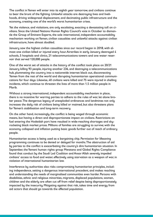The conflict in Yemen will enter into its eighth year tomorrow, and civilians continue to bear the brunt of the fighting. Unlawful attacks are destroying lives and livelihoods, driving widespread displacement, and decimating public infrastructure and the economy, creating one of the world's worst humanitarian crises.

Yet the violence, and violations, are only escalating, exacting a devastating toll on civilians. Since the United Nations Human Rights Council's vote in October to dismantle the Group of Eminent Experts, the sole international, independent accountability mechanism working on Yemen, civilian casualties and unlawful attacks against civilian infrastructure, have almost doubled.

January saw the highest civilian casualties since our record began in 2018, with almost one civilian killed or injured every hour. Airstrikes in early January destroyed 4 schools, 5 hospitals and clinics, 21 telecommunications towers and one water reservoir that served 120,000 people.

One of the worst set of attacks in the history of the conflict took place on 20/21 January killing 93 people, injuring another 236, and destroying a telecommunications hub, plummeting the country into a nationwide internet black out, disconnecting Yemen from the rest of the world and disrupting humanitarian operational communications for four days. Likewise, 40 civilians were killed and 75 were injured in shelling incidents, which continue to threaten the lives of more than 1.5 million people in Marib.

Without a strong international, independent accountability mechanism in place, there is no incentive for warring parties to adhere to the rules of war, let alone broker peace. The dangerous legacy of unexploded ordinances and landmines not only increases the daily risk of civilians being killed or maimed, but also threatens plans for Yemen's stabilisation and long-term recovery.

On the other hand, increasingly, the conflict is being waged through economic means, but having a direct and disproportionate impact on civilians. Restrictions on fuel entering the Hodeidah port have resulted in wide-reaching shortages and skyrocketing black market prices. Millions of families are struggling to survive; with the economy collapsed and inflation putting basic goods further out of reach of ordinary people.

Humanitarian access is being used as a bargaining chip. Permission for lifesaving programming continues to be denied or delayed for months. The obstruction of aid by parties to the conflict is exacerbating the country's dire humanitarian situation. In September, the Yemeni human rights group Mwatana and Global Rights Compliance found that conduct by the Saudi Led Coalition and Ansar Allah severely impeded civilians' access to food and water, effectively using starvation as a weapon of war, in violation of international humanitarian law.

Interference by authorities also risks compromising humanitarian principles, including independence, setting a dangerous international precedent, and makes reaching and understanding the needs of marginalised communities even harder. Persons with disabilities, ethnic and religious minorities, migrants, displaced populations, women, children and the elderly are often cut off from relief despite being disproportionately impacted by the insecurity. Mitigating against that risk, takes time and energy from aid actors that should go towards the affected population.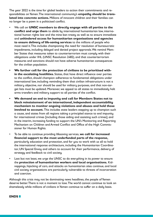The year 2022 is the time for global leaders to action their commitments and responsibilities on Yemen. The international community's **empathy should be translated into concrete actions.** Millions of innocent children and their families can no longer be a pawn in a politicised conflict.

- We call on **UNSC members to directly engage with all parties to the conflict and urge them** to abide by international humanitarian law, international human rights law and the mine ban treaty as well as to ensure immediate and **unhindered access for humanitarian organisations and agencies to ensure delivery of life-saving services** to the millions of people who most need it. This includes championing the need for resolution of bureaucratic impediments, including delayed and denied project approvals. We remind Member States that measures taken to counterterrorism must comply with their obligations under IHL (UNSC Resolution 2482), and that counterterrorism measures and sanctions should not have adverse humanitarian consequences for the civilian population.
- **• We further call for the protection of civilians to be prioritised within the escalating hostilities.** States, that have direct influence over parties to the conflict, should champion adherence to fundamental obligations under international law, including reminding them that civilian infrastructure is not a military objective, nor should be used for military purposes, and that non-target lists must be updated. Moreover, we appeal to all states to immediately halt arms transfers and military support to all parties of the conflict.
- **• We demand an end to impunity and call for Members States not to block reinstatement of an international, independent accountability mechanism to monitor ongoing violations and abuses and hold those involved to account.** This includes state leaders stepping up to champion such a cause, and states from all regions taking a principled stance to end impunity for international crimes [including those aiding and assisting such crimes], and in the interim, increasing funding to support the UN's Monitoring and Reporting Mechanism on Children and Armed Conflict and Office of the High Commissioner for Human Rights.
- To be able to continue providing lifesaving services, **we call for increased financial support to the most underfunded parts of the response,**  particularly education and protection, and for you to work with us all to hold the international response architecture, including the Humanitarian Coordinator, UN Special Envoy and others to account for their performance, delivery of strategy and feedback to civil society.
- Last but not least, we urge the UNSC to do everything in its power to ensure the **protection of humanitarian workers and local organisations.** Kidnappings, hijacking of cars, and attacks on humanitarian sites continue, and local civil society organisations are particularly vulnerable to threats of incarceration and coercion.

Although this crisis may not be dominating news headlines, the people of Yemen deserve better. There is not a moment to lose. The world cannot continue to look on shamelessly while millions of civilians in Yemen continue to suffer on a daily basis.

## **ENDS**